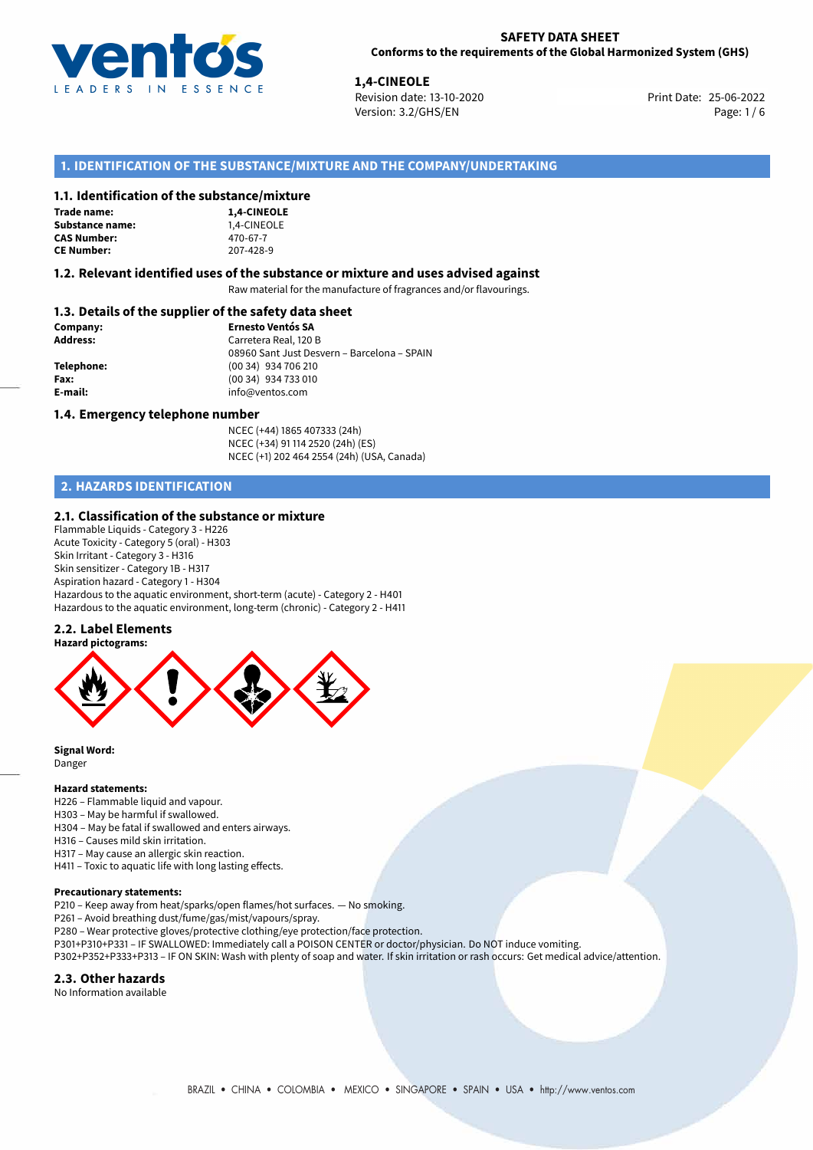

**1,4-CINEOLE**<br>
Revision date: 13-10-2020<br> **19.2022 Print Date: 25-06-2022** Version: 3.2/GHS/EN Page: 1/6

# **1. IDENTIFICATION OF THE SUBSTANCE/MIXTURE AND THE COMPANY/UNDERTAKING**

#### **1.1. Identification of the substance/mixture**

| Trade name:        |
|--------------------|
| Substance name:    |
| <b>CAS Number:</b> |
| <b>CE Number:</b>  |

**1,4-CINEOLE Substance name:** 1,4-CINEOLE **CAS Number:** 470-67-7 **CE Number:** 207-428-9

#### **1.2. Relevant identified uses of the substance or mixture and uses advised against**

Raw material for the manufacture of fragrances and/or flavourings.

### **1.3. Details of the supplier of the safety data sheet**

| Company:        | <b>Ernesto Ventós SA</b>                    |
|-----------------|---------------------------------------------|
| <b>Address:</b> | Carretera Real, 120 B                       |
|                 | 08960 Sant Just Desvern - Barcelona - SPAIN |
| Telephone:      | (00 34) 934 706 210                         |
| Fax:            | (00 34) 934 733 010                         |
| E-mail:         | info@ventos.com                             |
|                 |                                             |

#### **1.4. Emergency telephone number**

NCEC (+44) 1865 407333 (24h) NCEC (+34) 91 114 2520 (24h) (ES) NCEC (+1) 202 464 2554 (24h) (USA, Canada)

# **2. HAZARDS IDENTIFICATION**

#### **2.1. Classification of the substance or mixture**

Flammable Liquids - Category 3 - H226 Acute Toxicity - Category 5 (oral) - H303 Skin Irritant - Category 3 - H316 Skin sensitizer - Category 1B - H317 Aspiration hazard - Category 1 - H304 Hazardous to the aquatic environment, short-term (acute) - Category 2 - H401 Hazardous to the aquatic environment, long-term (chronic) - Category 2 - H411

### **2.2. Label Elements**



**Signal Word:** Danger

#### **Hazard statements:**

- H226 Flammable liquid and vapour. H303 – May be harmful if swallowed. H304 – May be fatal if swallowed and enters airways.
- H316 Causes mild skin irritation.

H317 – May cause an allergic skin reaction.

H411 – Toxic to aquatic life with long lasting effects.

#### **Precautionary statements:**

P210 – Keep away from heat/sparks/open flames/hot surfaces. — No smoking.

P261 – Avoid breathing dust/fume/gas/mist/vapours/spray.

- P280 Wear protective gloves/protective clothing/eye protection/face protection.
- P301+P310+P331 IF SWALLOWED: Immediately call a POISON CENTER or doctor/physician. Do NOT induce vomiting.
- P302+P352+P333+P313 IF ON SKIN: Wash with plenty of soap and water. If skin irritation or rash occurs: Get medical advice/attention.

#### **2.3. Other hazards**

No Information available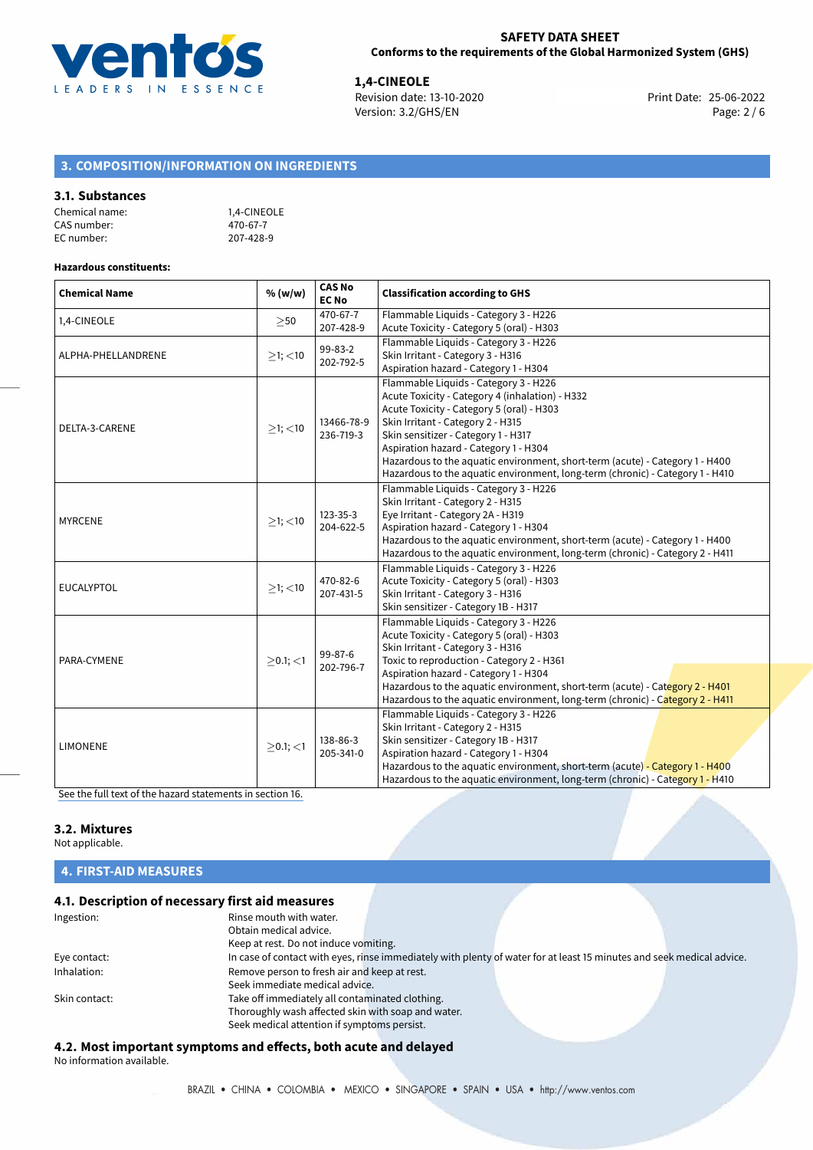

**1,4-CINEOLE**<br>
Revision date: 13-10-2020 **Print Date: 25-06-2022** Version: 3.2/GHS/EN Page: 2 / 6

# **3. COMPOSITION/INFORMATION ON INGREDIENTS**

#### **3.1. Substances**

| Chemical name: | 1.4-CINEOLE |
|----------------|-------------|
| CAS number:    | 470-67-7    |
| EC number:     | 207-428-9   |

#### **Hazardous constituents:**

| <b>Chemical Name</b> | % (w/w)        | <b>CAS No</b><br><b>EC No</b> | <b>Classification according to GHS</b>                                                                                                                                                                                                                                                                                                                                                                                      |  |
|----------------------|----------------|-------------------------------|-----------------------------------------------------------------------------------------------------------------------------------------------------------------------------------------------------------------------------------------------------------------------------------------------------------------------------------------------------------------------------------------------------------------------------|--|
| 1,4-CINEOLE          | $\geq$ 50      | 470-67-7<br>207-428-9         | Flammable Liquids - Category 3 - H226<br>Acute Toxicity - Category 5 (oral) - H303                                                                                                                                                                                                                                                                                                                                          |  |
| ALPHA-PHELLANDRENE   | $\geq$ 1; <10  | 99-83-2<br>202-792-5          | Flammable Liquids - Category 3 - H226<br>Skin Irritant - Category 3 - H316<br>Aspiration hazard - Category 1 - H304                                                                                                                                                                                                                                                                                                         |  |
| DELTA-3-CARENE       | $>1$ ; <10     | 13466-78-9<br>236-719-3       | Flammable Liquids - Category 3 - H226<br>Acute Toxicity - Category 4 (inhalation) - H332<br>Acute Toxicity - Category 5 (oral) - H303<br>Skin Irritant - Category 2 - H315<br>Skin sensitizer - Category 1 - H317<br>Aspiration hazard - Category 1 - H304<br>Hazardous to the aquatic environment, short-term (acute) - Category 1 - H400<br>Hazardous to the aquatic environment, long-term (chronic) - Category 1 - H410 |  |
| <b>MYRCENE</b>       | $>1$ ; $<$ 10  | 123-35-3<br>204-622-5         | Flammable Liquids - Category 3 - H226<br>Skin Irritant - Category 2 - H315<br>Eye Irritant - Category 2A - H319<br>Aspiration hazard - Category 1 - H304<br>Hazardous to the aquatic environment, short-term (acute) - Category 1 - H400<br>Hazardous to the aquatic environment, long-term (chronic) - Category 2 - H411                                                                                                   |  |
| <b>EUCALYPTOL</b>    | $>1$ ; <10     | 470-82-6<br>207-431-5         | Flammable Liquids - Category 3 - H226<br>Acute Toxicity - Category 5 (oral) - H303<br>Skin Irritant - Category 3 - H316<br>Skin sensitizer - Category 1B - H317                                                                                                                                                                                                                                                             |  |
| PARA-CYMENE          | $\geq$ 0.1; <1 | 99-87-6<br>202-796-7          | Flammable Liquids - Category 3 - H226<br>Acute Toxicity - Category 5 (oral) - H303<br>Skin Irritant - Category 3 - H316<br>Toxic to reproduction - Category 2 - H361<br>Aspiration hazard - Category 1 - H304<br>Hazardous to the aquatic environment, short-term (acute) - Category 2 - H401<br>Hazardous to the aquatic environment, long-term (chronic) - Category 2 - H411                                              |  |
| <b>LIMONENE</b>      | $>0.1$ ; $<$ 1 | 138-86-3<br>205-341-0         | Flammable Liquids - Category 3 - H226<br>Skin Irritant - Category 2 - H315<br>Skin sensitizer - Category 1B - H317<br>Aspiration hazard - Category 1 - H304<br>Hazardous to the aguatic environment, short-term (acute) - Category 1 - H400<br>Hazardous to the aquatic environment, long-term (chronic) - Category 1 - H410                                                                                                |  |

[See the full text of the hazard statements in section 16.](#page-4-0)

# **3.2. Mixtures**

Not applicable.

# **4. FIRST-AID MEASURES**

# **4.1. Description of necessary first aid measures**

| Ingestion:    | Rinse mouth with water.<br>Obtain medical advice.                                                                     |
|---------------|-----------------------------------------------------------------------------------------------------------------------|
|               | Keep at rest. Do not induce vomiting.                                                                                 |
| Eye contact:  | In case of contact with eyes, rinse immediately with plenty of water for at least 15 minutes and seek medical advice. |
| Inhalation:   | Remove person to fresh air and keep at rest.                                                                          |
|               | Seek immediate medical advice.                                                                                        |
| Skin contact: | Take off immediately all contaminated clothing.                                                                       |
|               | Thoroughly wash affected skin with soap and water.                                                                    |
|               | Seek medical attention if symptoms persist.                                                                           |

# **4.2. Most important symptoms and effects, both acute and delayed**

No information available.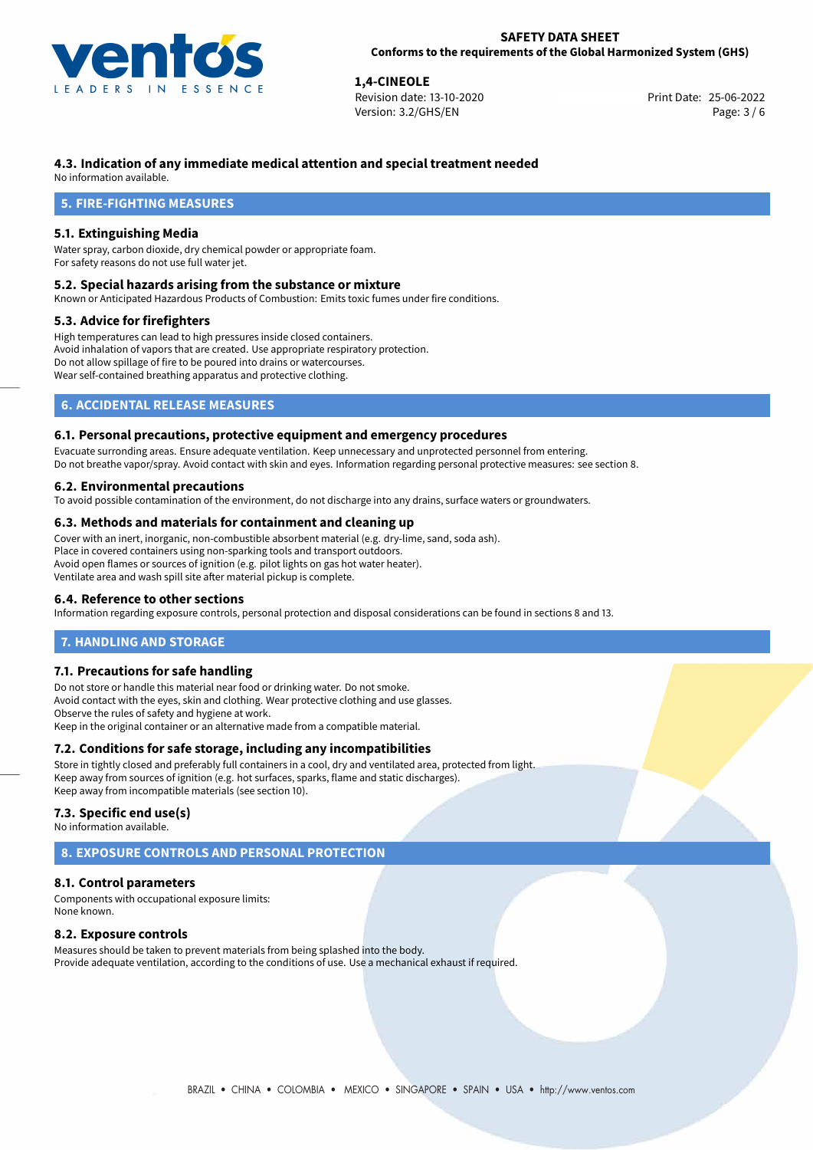

**1,4-CINEOLE**<br> **1,4-CINEOLE**<br> **1,4-CINEOLE**<br> **1,5-06-2022**<br> **1,5-06-2022**<br> **1,5-06-2022** Revision date: 13-10-2020 Version: 3.2/GHS/EN Page: 3 / 6

# **4.3. Indication of any immediate medical attention and special treatment needed**

No information available.

# **5. FIRE-FIGHTING MEASURES**

# **5.1. Extinguishing Media**

Water spray, carbon dioxide, dry chemical powder or appropriate foam. For safety reasons do not use full water jet.

#### **5.2. Special hazards arising from the substance or mixture**

Known or Anticipated Hazardous Products of Combustion: Emits toxic fumes under fire conditions.

### **5.3. Advice for firefighters**

High temperatures can lead to high pressures inside closed containers. Avoid inhalation of vapors that are created. Use appropriate respiratory protection. Do not allow spillage of fire to be poured into drains or watercourses. Wear self-contained breathing apparatus and protective clothing.

# **6. ACCIDENTAL RELEASE MEASURES**

### **6.1. Personal precautions, protective equipment and emergency procedures**

Evacuate surronding areas. Ensure adequate ventilation. Keep unnecessary and unprotected personnel from entering. Do not breathe vapor/spray. Avoid contact with skin and eyes. Information regarding personal protective measures: see section 8.

# **6.2. Environmental precautions**

To avoid possible contamination of the environment, do not discharge into any drains, surface waters or groundwaters.

#### **6.3. Methods and materials for containment and cleaning up**

Cover with an inert, inorganic, non-combustible absorbent material (e.g. dry-lime, sand, soda ash). Place in covered containers using non-sparking tools and transport outdoors. Avoid open flames or sources of ignition (e.g. pilot lights on gas hot water heater). Ventilate area and wash spill site after material pickup is complete.

### **6.4. Reference to other sections**

Information regarding exposure controls, personal protection and disposal considerations can be found in sections 8 and 13.

# **7. HANDLING AND STORAGE**

### **7.1. Precautions for safe handling**

Do not store or handle this material near food or drinking water. Do not smoke. Avoid contact with the eyes, skin and clothing. Wear protective clothing and use glasses. Observe the rules of safety and hygiene at work. Keep in the original container or an alternative made from a compatible material.

# **7.2. Conditions for safe storage, including any incompatibilities**

Store in tightly closed and preferably full containers in a cool, dry and ventilated area, protected from light. Keep away from sources of ignition (e.g. hot surfaces, sparks, flame and static discharges). Keep away from incompatible materials (see section 10).

#### **7.3. Specific end use(s)**

No information available.

# **8. EXPOSURE CONTROLS AND PERSONAL PROTECTION**

### **8.1. Control parameters**

Components with occupational exposure limits: None known.

### **8.2. Exposure controls**

Measures should be taken to prevent materials from being splashed into the body. Provide adequate ventilation, according to the conditions of use. Use a mechanical exhaust if required.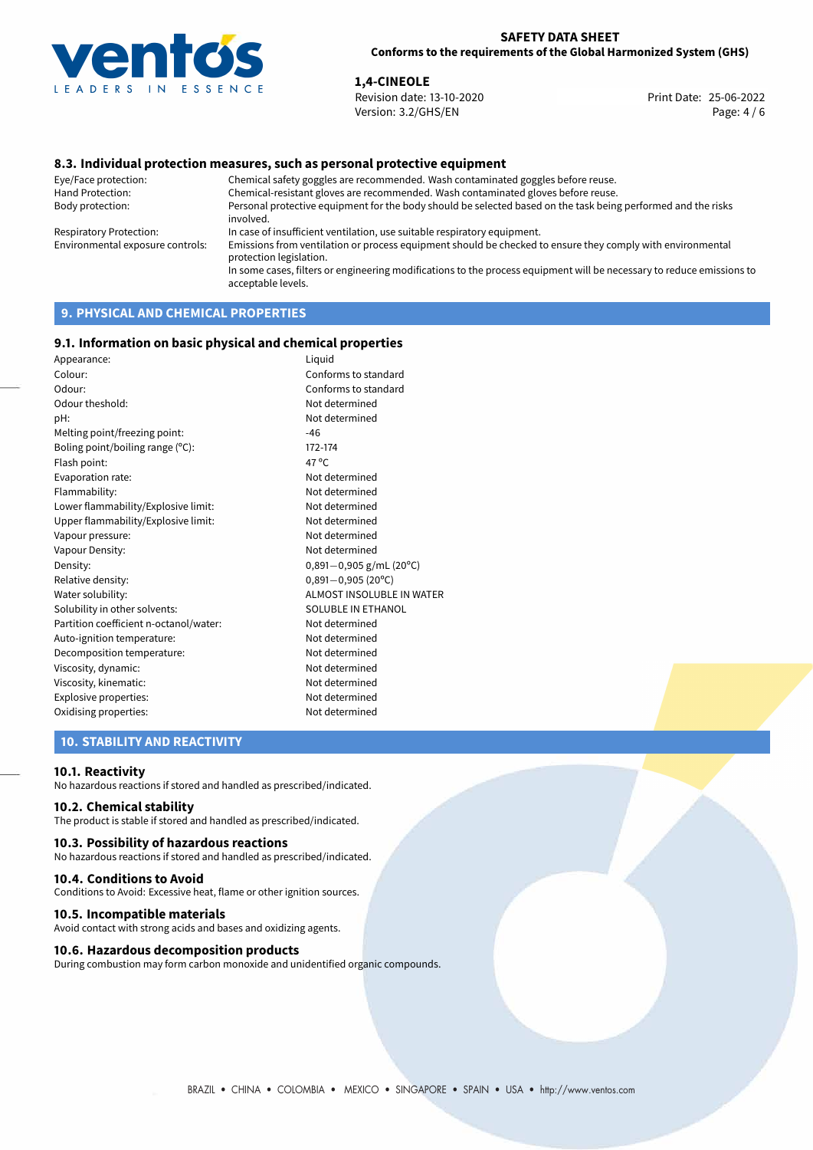

**1,4-CINEOLE**<br>
Revision date: 13-10-2020 **Print Date: 25-06-2022** Version: 3.2/GHS/EN Page: 4 / 6

# **8.3. Individual protection measures, such as personal protective equipment**

Eye/Face protection: Chemical safety goggles are recommended. Wash contaminated goggles before reuse. Chemical-resistant gloves are recommended. Wash contaminated gloves before reuse. Body protection: Personal protective equipment for the body should be selected based on the task being performed and the risks involved. Respiratory Protection: In case of insufficient ventilation, use suitable respiratory equipment. Environmental exposure controls: Emissions from ventilation or process equipment should be checked to ensure they comply with environmental protection legislation. In some cases, filters or engineering modifications to the process equipment will be necessary to reduce emissions to acceptable levels.

# **9. PHYSICAL AND CHEMICAL PROPERTIES**

### **9.1. Information on basic physical and chemical properties**

| Appearance:                            | Liquid                           |
|----------------------------------------|----------------------------------|
| Colour:                                | Conforms to standard             |
| Odour:                                 | Conforms to standard             |
| Odour theshold:                        | Not determined                   |
| pH:                                    | Not determined                   |
| Melting point/freezing point:          | $-46$                            |
| Boling point/boiling range (°C):       | 172-174                          |
| Flash point:                           | 47 $^{\circ}$ C                  |
| Evaporation rate:                      | Not determined                   |
| Flammability:                          | Not determined                   |
| Lower flammability/Explosive limit:    | Not determined                   |
| Upper flammability/Explosive limit:    | Not determined                   |
| Vapour pressure:                       | Not determined                   |
| Vapour Density:                        | Not determined                   |
| Density:                               | $0,891 - 0,905$ g/mL (20°C)      |
| Relative density:                      | $0,891 - 0,905$ (20°C)           |
| Water solubility:                      | <b>ALMOST INSOLUBLE IN WATER</b> |
| Solubility in other solvents:          | SOLUBLE IN ETHANOL               |
| Partition coefficient n-octanol/water: | Not determined                   |
| Auto-ignition temperature:             | Not determined                   |
| Decomposition temperature:             | Not determined                   |
| Viscosity, dynamic:                    | Not determined                   |
| Viscosity, kinematic:                  | Not determined                   |
| Explosive properties:                  | Not determined                   |
| Oxidising properties:                  | Not determined                   |

# **10. STABILITY AND REACTIVITY**

#### **10.1. Reactivity**

No hazardous reactions if stored and handled as prescribed/indicated.

# **10.2. Chemical stability**

The product is stable if stored and handled as prescribed/indicated.

### **10.3. Possibility of hazardous reactions**

No hazardous reactions if stored and handled as prescribed/indicated.

#### **10.4. Conditions to Avoid**

Conditions to Avoid: Excessive heat, flame or other ignition sources.

#### **10.5. Incompatible materials**

Avoid contact with strong acids and bases and oxidizing agents.

#### **10.6. Hazardous decomposition products**

During combustion may form carbon monoxide and unidentified organic compounds.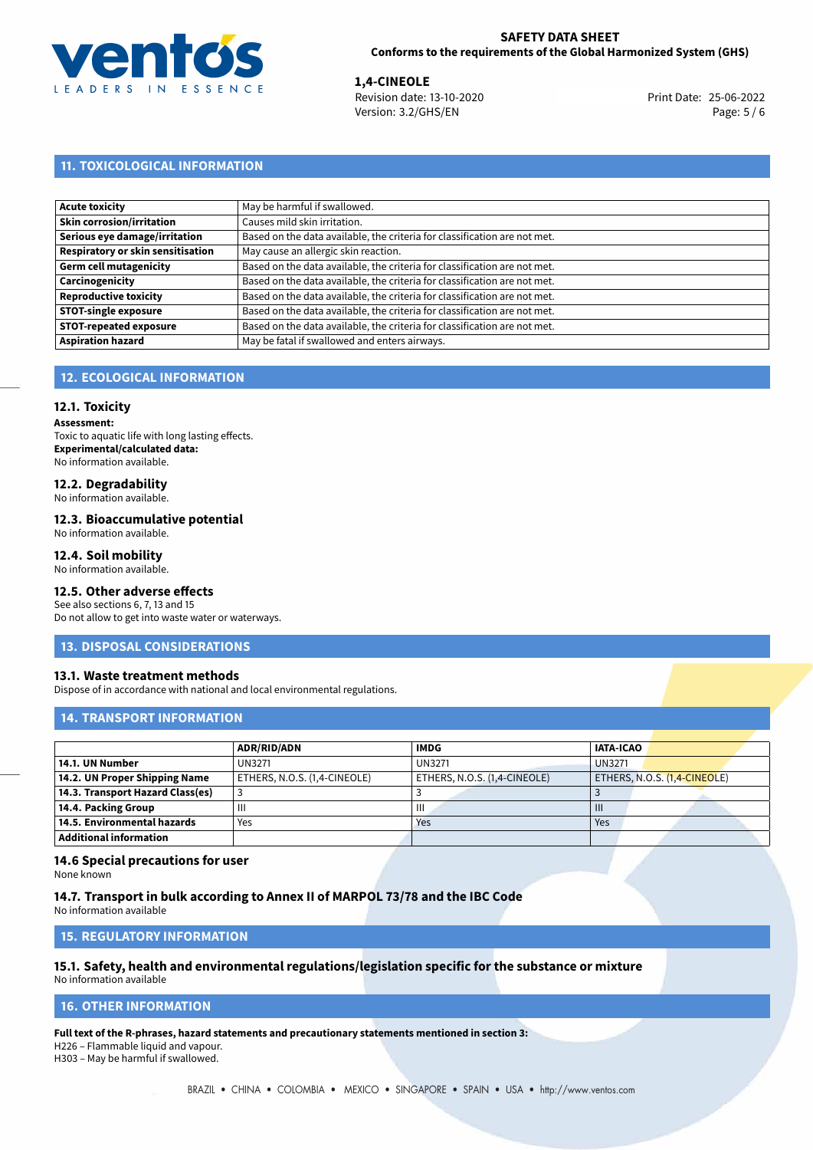

**1,4-CINEOLE**<br>
Revision date: 13-10-2020 **Print Date: 25-06-2022** Version: 3.2/GHS/EN Page: 5 / 6

# **11. TOXICOLOGICAL INFORMATION**

| Acute toxicity                    | May be harmful if swallowed.                                              |
|-----------------------------------|---------------------------------------------------------------------------|
| Skin corrosion/irritation         | Causes mild skin irritation.                                              |
| Serious eye damage/irritation     | Based on the data available, the criteria for classification are not met. |
| Respiratory or skin sensitisation | May cause an allergic skin reaction.                                      |
| Germ cell mutagenicity            | Based on the data available, the criteria for classification are not met. |
| <b>Carcinogenicity</b>            | Based on the data available, the criteria for classification are not met. |
| Reproductive toxicity             | Based on the data available, the criteria for classification are not met. |
| <b>STOT-single exposure</b>       | Based on the data available, the criteria for classification are not met. |
| <b>STOT-repeated exposure</b>     | Based on the data available, the criteria for classification are not met. |
| <b>Aspiration hazard</b>          | May be fatal if swallowed and enters airways.                             |

# **12. ECOLOGICAL INFORMATION**

#### **12.1. Toxicity**

**Assessment:** Toxic to aquatic life with long lasting effects. **Experimental/calculated data:** No information available.

# **12.2. Degradability**

No information available.

#### **12.3. Bioaccumulative potential**

No information available.

#### **12.4. Soil mobility**

No information available.

# **12.5. Other adverse effects**

See also sections 6, 7, 13 and 15 Do not allow to get into waste water or waterways.

#### **13. DISPOSAL CONSIDERATIONS**

#### **13.1. Waste treatment methods**

Dispose of in accordance with national and local environmental regulations.

#### **14. TRANSPORT INFORMATION**

|                                  | ADR/RID/ADN                  | <b>IMDG</b>                  | <b>IATA-ICAO</b>             |
|----------------------------------|------------------------------|------------------------------|------------------------------|
| 14.1. UN Number                  | <b>UN3271</b>                | <b>UN3271</b>                | <b>UN3271</b>                |
| 14.2. UN Proper Shipping Name    | ETHERS, N.O.S. (1,4-CINEOLE) | ETHERS, N.O.S. (1,4-CINEOLE) | ETHERS, N.O.S. (1,4-CINEOLE) |
| 14.3. Transport Hazard Class(es) |                              |                              |                              |
| 14.4. Packing Group              | Ш                            | $\mathbf{III}$               | Ш                            |
| 14.5. Environmental hazards      | Yes                          | Yes                          | Yes                          |
| <b>Additional information</b>    |                              |                              |                              |

#### **14.6 Special precautions for user**

None known

#### **14.7. Transport in bulk according to Annex II of MARPOL 73/78 and the IBC Code**

No information available

### **15. REGULATORY INFORMATION**

# **15.1. Safety, health and environmental regulations/legislation specific for the substance or mixture**

No information available

### <span id="page-4-0"></span>**16. OTHER INFORMATION**

**Full text of the R-phrases, hazard statements and precautionary statements mentioned in section 3:**

H226 – Flammable liquid and vapour.